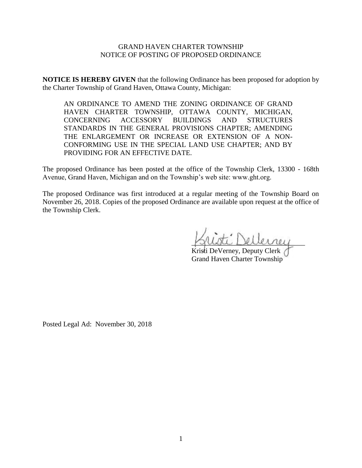### GRAND HAVEN CHARTER TOWNSHIP NOTICE OF POSTING OF PROPOSED ORDINANCE

**NOTICE IS HEREBY GIVEN** that the following Ordinance has been proposed for adoption by the Charter Township of Grand Haven, Ottawa County, Michigan:

AN ORDINANCE TO AMEND THE ZONING ORDINANCE OF GRAND HAVEN CHARTER TOWNSHIP, OTTAWA COUNTY, MICHIGAN, CONCERNING ACCESSORY BUILDINGS AND STRUCTURES STANDARDS IN THE GENERAL PROVISIONS CHAPTER; AMENDING THE ENLARGEMENT OR INCREASE OR EXTENSION OF A NON-CONFORMING USE IN THE SPECIAL LAND USE CHAPTER; AND BY PROVIDING FOR AN EFFECTIVE DATE.

The proposed Ordinance has been posted at the office of the Township Clerk, 13300 - 168th Avenue, Grand Haven, Michigan and on the Township's web site: www.ght.org.

The proposed Ordinance was first introduced at a regular meeting of the Township Board on November 26, 2018. Copies of the proposed Ordinance are available upon request at the office of the Township Clerk.

\_\_\_\_\_\_\_\_\_\_\_\_\_\_\_\_\_\_\_\_\_\_\_\_\_\_\_\_\_\_\_\_

Kristi DeVerney, Deputy Clerk Grand Haven Charter Township

Posted Legal Ad: November 30, 2018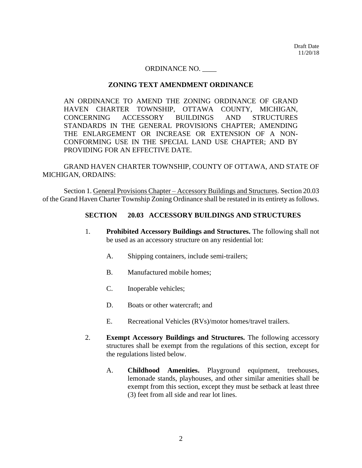Draft Date 11/20/18

#### ORDINANCE NO. \_\_\_\_

#### **ZONING TEXT AMENDMENT ORDINANCE**

AN ORDINANCE TO AMEND THE ZONING ORDINANCE OF GRAND HAVEN CHARTER TOWNSHIP, OTTAWA COUNTY, MICHIGAN, CONCERNING ACCESSORY BUILDINGS AND STRUCTURES STANDARDS IN THE GENERAL PROVISIONS CHAPTER; AMENDING THE ENLARGEMENT OR INCREASE OR EXTENSION OF A NON-CONFORMING USE IN THE SPECIAL LAND USE CHAPTER; AND BY PROVIDING FOR AN EFFECTIVE DATE.

GRAND HAVEN CHARTER TOWNSHIP, COUNTY OF OTTAWA, AND STATE OF MICHIGAN, ORDAINS:

Section 1. General Provisions Chapter – Accessory Buildings and Structures. Section 20.03 of the Grand Haven Charter Township Zoning Ordinance shall be restated in its entirety as follows.

#### **SECTION 20.03 ACCESSORY BUILDINGS AND STRUCTURES**

- 1. **Prohibited Accessory Buildings and Structures.** The following shall not be used as an accessory structure on any residential lot:
	- A. Shipping containers, include semi-trailers;
	- B. Manufactured mobile homes;
	- C. Inoperable vehicles;
	- D. Boats or other watercraft; and
	- E. Recreational Vehicles (RVs)/motor homes/travel trailers.
- 2. **Exempt Accessory Buildings and Structures.** The following accessory structures shall be exempt from the regulations of this section, except for the regulations listed below.
	- A. **Childhood Amenities.** Playground equipment, treehouses, lemonade stands, playhouses, and other similar amenities shall be exempt from this section, except they must be setback at least three (3) feet from all side and rear lot lines.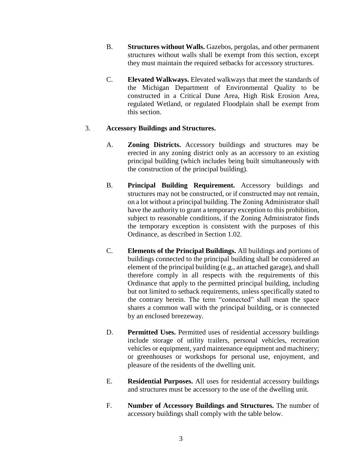- B. **Structures without Walls.** Gazebos, pergolas, and other permanent structures without walls shall be exempt from this section, except they must maintain the required setbacks for accessory structures.
- C. **Elevated Walkways.** Elevated walkways that meet the standards of the Michigan Department of Environmental Quality to be constructed in a Critical Dune Area, High Risk Erosion Area, regulated Wetland, or regulated Floodplain shall be exempt from this section.

## 3. **Accessory Buildings and Structures.**

- A. **Zoning Districts.** Accessory buildings and structures may be erected in any zoning district only as an accessory to an existing principal building (which includes being built simultaneously with the construction of the principal building).
- B. **Principal Building Requirement.** Accessory buildings and structures may not be constructed, or if constructed may not remain, on a lot without a principal building. The Zoning Administrator shall have the authority to grant a temporary exception to this prohibition, subject to reasonable conditions, if the Zoning Administrator finds the temporary exception is consistent with the purposes of this Ordinance, as described in Section 1.02.
- C. **Elements of the Principal Buildings.** All buildings and portions of buildings connected to the principal building shall be considered an element of the principal building (e.g., an attached garage), and shall therefore comply in all respects with the requirements of this Ordinance that apply to the permitted principal building, including but not limited to setback requirements, unless specifically stated to the contrary herein. The term "connected" shall mean the space shares a common wall with the principal building, or is connected by an enclosed breezeway.
- D. **Permitted Uses.** Permitted uses of residential accessory buildings include storage of utility trailers, personal vehicles, recreation vehicles or equipment, yard maintenance equipment and machinery; or greenhouses or workshops for personal use, enjoyment, and pleasure of the residents of the dwelling unit.
- E. **Residential Purposes.** All uses for residential accessory buildings and structures must be accessory to the use of the dwelling unit.
- F. **Number of Accessory Buildings and Structures.** The number of accessory buildings shall comply with the table below.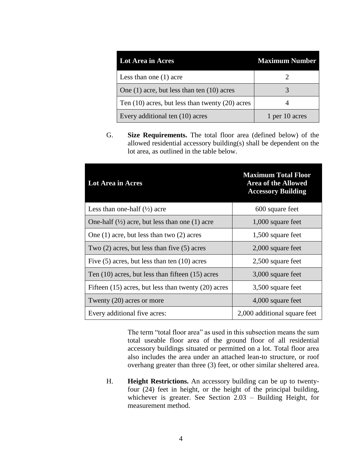| <b>Lot Area in Acres</b>                            | <b>Maximum Number</b> |
|-----------------------------------------------------|-----------------------|
| Less than one $(1)$ acre                            |                       |
| One $(1)$ acre, but less than ten $(10)$ acres      |                       |
| Ten $(10)$ acres, but less than twenty $(20)$ acres |                       |
| Every additional ten (10) acres                     | 1 per 10 acres        |

G. **Size Requirements.** The total floor area (defined below) of the allowed residential accessory building(s) shall be dependent on the lot area, as outlined in the table below.

| Lot Area in Acres                                         | <b>Maximum Total Floor</b><br><b>Area of the Allowed</b><br><b>Accessory Building</b> |
|-----------------------------------------------------------|---------------------------------------------------------------------------------------|
| Less than one-half $(\frac{1}{2})$ acre                   | 600 square feet                                                                       |
| One-half $(\frac{1}{2})$ acre, but less than one (1) acre | $1,000$ square feet                                                                   |
| One $(1)$ acre, but less than two $(2)$ acres             | 1,500 square feet                                                                     |
| Two $(2)$ acres, but less than five $(5)$ acres           | $2,000$ square feet                                                                   |
| Five $(5)$ acres, but less than ten $(10)$ acres          | 2,500 square feet                                                                     |
| Ten $(10)$ acres, but less than fifteen $(15)$ acres      | 3,000 square feet                                                                     |
| Fifteen $(15)$ acres, but less than twenty $(20)$ acres   | 3,500 square feet                                                                     |
| Twenty (20) acres or more                                 | 4,000 square feet                                                                     |
| Every additional five acres:                              | 2,000 additional square feet                                                          |

The term "total floor area" as used in this subsection means the sum total useable floor area of the ground floor of all residential accessory buildings situated or permitted on a lot. Total floor area also includes the area under an attached lean-to structure, or roof overhang greater than three (3) feet, or other similar sheltered area.

H. **Height Restrictions.** An accessory building can be up to twentyfour (24) feet in height, or the height of the principal building, whichever is greater. See Section 2.03 – Building Height, for measurement method.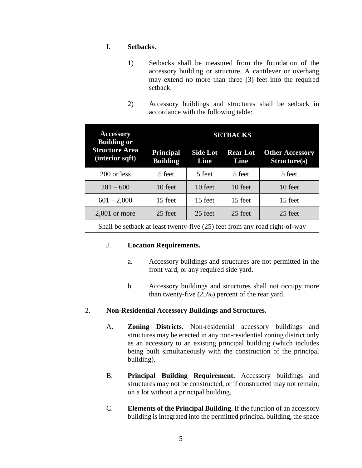## I. **Setbacks.**

- 1) Setbacks shall be measured from the foundation of the accessory building or structure. A cantilever or overhang may extend no more than three (3) feet into the required setback.
- 2) Accessory buildings and structures shall be setback in accordance with the following table:

| <b>Accessory</b><br><b>Building or</b>                                     | <b>SETBACKS</b>                     |                         |                         |                                        |
|----------------------------------------------------------------------------|-------------------------------------|-------------------------|-------------------------|----------------------------------------|
| <b>Structure Area</b><br>(interior sqft)                                   | <b>Principal</b><br><b>Building</b> | <b>Side Lot</b><br>Line | <b>Rear Lot</b><br>Line | <b>Other Accessory</b><br>Structure(s) |
| 200 or less                                                                | 5 feet                              | 5 feet                  | 5 feet                  | 5 feet                                 |
| $201 - 600$                                                                | 10 feet                             | 10 feet                 | 10 feet                 | 10 feet                                |
| $601 - 2,000$                                                              | 15 feet                             | 15 feet                 | 15 feet                 | 15 feet                                |
| $2,001$ or more                                                            | 25 feet                             | 25 feet                 | 25 feet                 | 25 feet                                |
| Shall be setback at least twenty-five (25) feet from any road right-of-way |                                     |                         |                         |                                        |

### J. **Location Requirements.**

- a. Accessory buildings and structures are not permitted in the front yard, or any required side yard.
- b. Accessory buildings and structures shall not occupy more than twenty-five (25%) percent of the rear yard.

# 2. **Non-Residential Accessory Buildings and Structures.**

- A. **Zoning Districts.** Non-residential accessory buildings and structures may be erected in any non-residential zoning district only as an accessory to an existing principal building (which includes being built simultaneously with the construction of the principal building).
- B. **Principal Building Requirement.** Accessory buildings and structures may not be constructed, or if constructed may not remain, on a lot without a principal building.
- C. **Elements of the Principal Building.** If the function of an accessory building is integrated into the permitted principal building, the space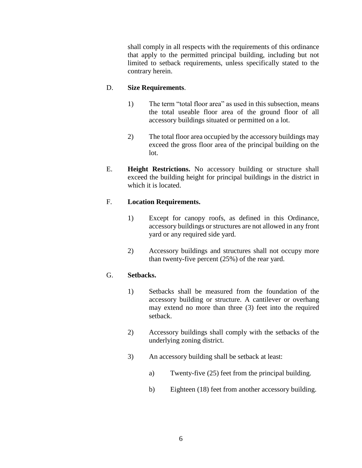shall comply in all respects with the requirements of this ordinance that apply to the permitted principal building, including but not limited to setback requirements, unless specifically stated to the contrary herein.

# D. **Size Requirements**.

- 1) The term "total floor area" as used in this subsection, means the total useable floor area of the ground floor of all accessory buildings situated or permitted on a lot.
- 2) The total floor area occupied by the accessory buildings may exceed the gross floor area of the principal building on the lot.
- E. **Height Restrictions.** No accessory building or structure shall exceed the building height for principal buildings in the district in which it is located.

# F. **Location Requirements.**

- 1) Except for canopy roofs, as defined in this Ordinance, accessory buildings or structures are not allowed in any front yard or any required side yard.
- 2) Accessory buildings and structures shall not occupy more than twenty-five percent (25%) of the rear yard.

# G. **Setbacks.**

- 1) Setbacks shall be measured from the foundation of the accessory building or structure. A cantilever or overhang may extend no more than three (3) feet into the required setback.
- 2) Accessory buildings shall comply with the setbacks of the underlying zoning district.
- 3) An accessory building shall be setback at least:
	- a) Twenty-five (25) feet from the principal building.
	- b) Eighteen (18) feet from another accessory building.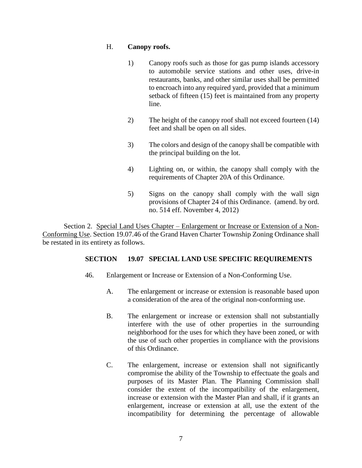## H. **Canopy roofs.**

- 1) Canopy roofs such as those for gas pump islands accessory to automobile service stations and other uses, drive-in restaurants, banks, and other similar uses shall be permitted to encroach into any required yard, provided that a minimum setback of fifteen (15) feet is maintained from any property line.
- 2) The height of the canopy roof shall not exceed fourteen (14) feet and shall be open on all sides.
- 3) The colors and design of the canopy shall be compatible with the principal building on the lot.
- 4) Lighting on, or within, the canopy shall comply with the requirements of Chapter 20A of this Ordinance.
- 5) Signs on the canopy shall comply with the wall sign provisions of Chapter 24 of this Ordinance. (amend. by ord. no. 514 eff. November 4, 2012)

Section 2. Special Land Uses Chapter – Enlargement or Increase or Extension of a Non-Conforming Use. Section 19.07.46 of the Grand Haven Charter Township Zoning Ordinance shall be restated in its entirety as follows.

# **SECTION 19.07 SPECIAL LAND USE SPECIFIC REQUIREMENTS**

- 46. Enlargement or Increase or Extension of a Non-Conforming Use.
	- A. The enlargement or increase or extension is reasonable based upon a consideration of the area of the original non-conforming use.
	- B. The enlargement or increase or extension shall not substantially interfere with the use of other properties in the surrounding neighborhood for the uses for which they have been zoned, or with the use of such other properties in compliance with the provisions of this Ordinance.
	- C. The enlargement, increase or extension shall not significantly compromise the ability of the Township to effectuate the goals and purposes of its Master Plan. The Planning Commission shall consider the extent of the incompatibility of the enlargement, increase or extension with the Master Plan and shall, if it grants an enlargement, increase or extension at all, use the extent of the incompatibility for determining the percentage of allowable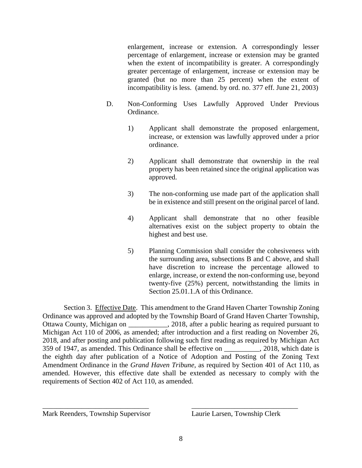enlargement, increase or extension. A correspondingly lesser percentage of enlargement, increase or extension may be granted when the extent of incompatibility is greater. A correspondingly greater percentage of enlargement, increase or extension may be granted (but no more than 25 percent) when the extent of incompatibility is less. (amend. by ord. no. 377 eff. June 21, 2003)

- D. Non-Conforming Uses Lawfully Approved Under Previous Ordinance.
	- 1) Applicant shall demonstrate the proposed enlargement, increase, or extension was lawfully approved under a prior ordinance.
	- 2) Applicant shall demonstrate that ownership in the real property has been retained since the original application was approved.
	- 3) The non-conforming use made part of the application shall be in existence and still present on the original parcel of land.
	- 4) Applicant shall demonstrate that no other feasible alternatives exist on the subject property to obtain the highest and best use.
	- 5) Planning Commission shall consider the cohesiveness with the surrounding area, subsections B and C above, and shall have discretion to increase the percentage allowed to enlarge, increase, or extend the non-conforming use, beyond twenty-five (25%) percent, notwithstanding the limits in Section 25.01.1.A of this Ordinance.

Section 3. Effective Date. This amendment to the Grand Haven Charter Township Zoning Ordinance was approved and adopted by the Township Board of Grand Haven Charter Township, Ottawa County, Michigan on \_\_\_\_\_\_\_\_\_\_\_, 2018, after a public hearing as required pursuant to Michigan Act 110 of 2006, as amended; after introduction and a first reading on November 26, 2018, and after posting and publication following such first reading as required by Michigan Act 359 of 1947, as amended. This Ordinance shall be effective on 2018, which date is the eighth day after publication of a Notice of Adoption and Posting of the Zoning Text Amendment Ordinance in the *Grand Haven Tribune*, as required by Section 401 of Act 110, as amended. However, this effective date shall be extended as necessary to comply with the requirements of Section 402 of Act 110, as amended.

Mark Reenders, Township Supervisor Laurie Larsen, Township Clerk

\_\_\_\_\_\_\_\_\_\_\_\_\_\_\_\_\_\_\_\_\_\_\_\_\_\_\_\_\_\_ \_\_\_\_\_\_\_\_\_\_\_\_\_\_\_\_\_\_\_\_\_\_\_\_\_\_\_\_\_\_